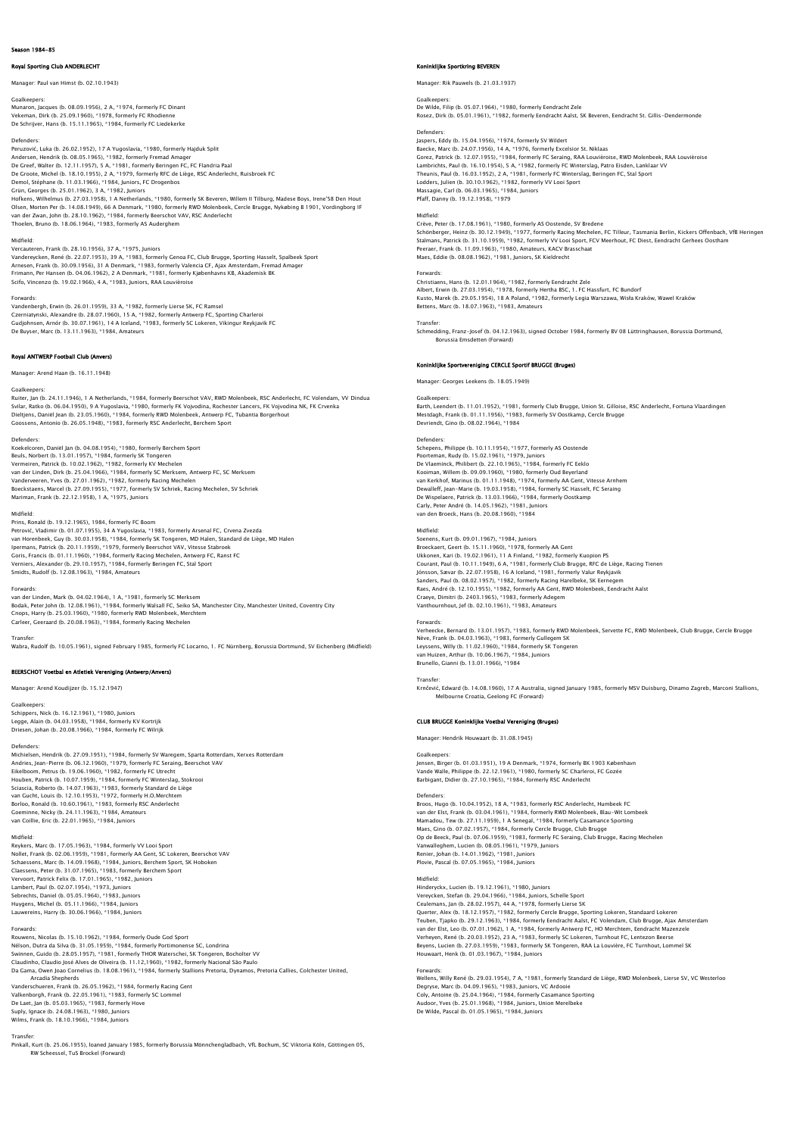# Royal Sporting Club ANDERLECHT

Manager: Paul van Himst (b. 02.10.1943)

Goalkeepers: Munaron, Jacques (b. 08.09.1956), 2 A, \*1974, formerly FC Dinant Vekeman, Dirk (b. 25.09.1960), \*1978, formerly FC Rhodienne De Schrijver, Hans (b. 15.11.1965), \*1984, formerly FC Liedekerke

Defenders:

Peruzović, Luka (b. 26.02.1952), 17 A Yugoslavia, \*1980, formerly Hajduk Split Andersen, Hendrik (b. 08.05.1965), \*1982, formerly Fremad Amager<br>De Greef, Walter (b. 12.11.1957), 5 A, \*1981, formerly Beringen FC, FC Flandria Paal<br>De Groote, Michel (b. 18.10.1955), 2 A, \*1979, formerly RFC de Liège, RS Grün, Georges (b. 25.01.1962), 3 A, \*1982, Juniors Hofkens, Wilhelmus (b. 27.03.1958), 1 A Netherlands, \*1980, formerly SK Beveren, Willem II Tilburg, Madese Boys, Irene'S8 Den Hout<br>Olsen, Morten Per (b. 14.08.1949), 66 A Denmark, \*1980, formerly RWD Molenbeek, Cercle Brug

### Midfield:

Vercauteren, Frank (b. 28.10.1956), 37 A, \*1975, Juniors<br>Vandereycken, René (b. 22.07.1953), 39 A, \*1983, formerly Genoa FC, Club Brugge, Sporting Hasselt, Spalbeek Sport<br>Arnesen, Frank (b. 30.09.1956), 31 A Denmark, \*1983 Scifo, Vincenzo (b. 19.02.1966), 4 A, \*1983, Juniors, RAA Louvièroise

Forwards:<br>Vandenbergh, Erwin (b. 26.01.1959), 33 A, \*1982, formerly Lierse SK, FC Ramsel<br>Czerniatynski, Alexandre (b. 28.07.1960), 15 A, \*1982, formerly Antwerp FC, Sporting Charleroi Gudjohnsen, Arnór (b. 30.07.1961), 14 A Iceland, \*1983, formerly SC Lokeren, Vikingur Reykjavik FC De Buyser, Marc (b. 13.11.1963), \*1984, Amateurs

# Royal ANTWERP Football Club (Anvers)

Manager: Arend Haan (b. 16.11.1948)

# Goalkeepers:

Ruiter, Jan (b. 24.11.1946), 1 A Netherlands, \*1984, formerly Beerschot VAV, RWD Molenbeek, RSC Anderlecht, FC Volendam, VV Dindua Svilar, Ratko (b. 06.04.1950), 9 A Yugoslavia, \*1980, formerly FK Vojvodina, Rochester Lancers, FK Vojvodina NK, FK Crvenka Dieltjens, Daniël Jean (b. 23.05.1960), \*1984, formerly RWD Molenbeek, Antwerp FC, Tubantia Borgerhout<br>Goossens, Antonio (b. 26.05.1948), \*1983, formerly RSC Anderlecht, Berchem Sport

## Defenders:

Koekelcoren, Daniël Jan (b. 04.08.1954), \*1980, formerly Berchem Sport Beuls, Norbert (b. 13.01.1957), \*1984, formerly SK Tongeren<br>Vermeiren, Patrick (b. 10.02.1962), \*1982, formerly KV Mechelen<br>Van der Linden, Dirk (b. 25.04.1966), \*1984, formerly SC Merksem, Antwerp FC, SC Merksem<br>Vandervee

Midfield:<br>Prins, Ronald (b. 19.12.1965), 1984, formerly FC Boom<br>Petrović, Vladimir (b. 01.07.1955), 34 A Yugoslavia, \*1983, formerly Arsenal FC, Crvena Zvezda<br>van Horenbeek, Guy (b. 30.03.1958), \*1984, formerly SK Tonqeren lpermans, Patrick (b. 20.11.1959), \*1979, formerly Beerschot VAV, Vitesse Stabroek<br>Goris, Francis (b. 01.11.1960), \*1984, formerly Racing Mechelen, Antwerp FC, Ranst FC<br>Verniers, Alexander (b. 29.10.1957), \*1984, formerly

### Forwards:

van der Linden, Mark (b. 04.02.1964), 1 A, \*1981, formerly SC Merksem Bodak, Peter John (b. 12.08.1961), \*1984, formerly Walsall FC, Seiko SA, Manchester City, Manchester United, Coventry City<br>Cnops, Harry (b. 25.03.1960), \*1980, formerly RWD Molenbeek, Merchtem<br>Carleer, Geeraard (b. 20.08.1

### Transfer:

Wabra, Rudolf (b. 10.05.1961), signed February 1985, formerly FC Locarno, 1. FC Nürnberg, Borussia Dortmund, SV Eichenberg (Midfield)

# BEERSCHOT Voetbal en Atletiek Vereniging (Antwerp/Anvers)

Manager: Arend Koudijzer (b. 15.12.1947)

# Goalkeepers:

Schippers, Nick (b. 16.12.1961), \*1980, Juniors Legge, Alain (b. 04.03.1958), \*1984, formerly KV Kortrijk Driesen, Johan (b. 20.08.1966), \*1984, formerly FC Wilrijk

Defenders: Michielsen, Hendrik (b. 27.09.1951), \*1984, formerly SV Waregem, Sparta Rotterdam, Xerxes Rotterdam Andries, Jean-Pierre (b. 06.12.1960), \*1979, formerly FC Seraing, Beerschot VAV Eikelboom, Petrus (b. 19.06.1960), \*1982, formerly FC Utrecht<br>Houben, Patrick (b. 10.07.1959), \*1984, formerly FC Winterslag, Stokrooi<br>Sciascia, Roberto (b. 14.07.1963), \*1973, formerly Standard de Liège<br>van Gucht, Louis ( Goeminne, Nicky (b. 24.11.1963), \*1984, Amateurs van Coillie, Eric (b. 22.01.1965), \*1984, Juniors

Midfield: Reykers, Marc (b. 17.05.1963), \*1984, formerly VV Looi Sport Nollet, Frank (b. 02.06.1959), \*1981, formerly AA Cent, SC Lokeren, Beerschot VAV<br>Schaessens, Marc (b. 14.09.1968), \*1984, Juniors, Berchem Sport, SK Hoboken<br>Claessens, Peter (b. 31.07.1965), \*1983, formerly Berchem Sport<br> Sebrechts, Daniel (b. 05.05.1964), \*1983, Juniors Huygens, Michel (b. 05.11.1966), \*1984, Juniors Lauwereins, Harry (b. 30.06.1966), \*1984, Juniors

### Forwards:

Rouwens, Nicolas (b. 15.10.1962), \*1984, formerly Oude God Sport Nélson, Dutra da Silva (b. 31.05.1959), \*1984, formerly Portimonense SC, Londrina<br>Swinnen, Guido (b. 28.05.1957), \*1981, formerly THOR Waterschei, SK Tongeren, Bocholter VV<br>Claudinho, Claudio José Alves de Oliveira (b. 11. Vanderschueren, Frank (b. 26.05.1962), \*1984, formerly Racing Gent<br>Valkenborgh, Frank (b. 22.05.1961), \*1983, formerly SC Lommel<br>De Laet, Jan (b. 05.03.1965), \*1983, formerly Hove<br>Suply, Ignace (b. 24.08.1963), \*1980, Juni

Transfer: Pinkall, Kurt (b. 25.06.1955), loaned January 1985, formerly Borussia Mönnchengladbach, VfL Bochum, SC Viktoria Köln, Göttingen 05, RW Scheessel, TuS Brockel (Forward)

### Koninklijke Sportkring BEVEREN

Manager: Rik Pauwels (b. 21.03.1937)

# Goalkeepers:

De Wilde, Filip (b. 05.07.1964), \*1980, formerly Eendracht Zele Rosez, Dirk (b. 05.01.1961), \*1982, formerly Eendracht Aalst, SK Beveren, Eendracht St. Gillis-Dendermonde

Defenders: Jaspers, Eddy (b. 15.04.1956), \*1974, formerly SV Wildert Baecke, Marc (b. 24.07.1956), 14 A, \*1976, formerly Excelsior St. Niklaas Gorez, Patrick (b. 12.07.1955), \*1984, formerly FC Seraing, RAA Louvièroise, RWD Molenbeek, RAA Louvièroise Lambrichts, Paul (b. 16.10.1954), 5 A, \*1982, formerly FC Winterslag, Patro Eisden, Lanklaar Vv<br>Theunis, Paul (b. 16.03.1952), 2 A, \*1981, formerly FC Winterslag, Beringen FC, Stal Sport<br>Lodders, Julien (b. 30.10.1962), \*1 Pfaff, Danny (b. 19.12.1958), \*1979

# **Midfield**

Crève, Peter (b. 17.08.1961), \*1980, formerly AS Oostende, SV Bredene<br>Schönberger, Heinz (b. 30.12.1949), \*1977, formerly Racing Mechelen, FC Tilleur, Tasmania Berlin, Kickers Offenbach, VfB Heringer Stalmans, Patrick (b. 31.10.1959), \*1982, formerly VV Looi Sport, FCV Meerhout, FC Diest, Eendracht Gerhees Oostham<br>Peeraer, Frank (b. 11.09.1963), \*1980, Amateurs, KACV Brasschaat<br>Maes, Eddie (b. 08.08.1962), \*1981, Junio

### Forwards:

Christiaens, Hans (b. 12.01.1964), \*1982, formerly Eendracht Zele Albert, Erwin (b. 27.03.1954), \*1978, formerly Hertha BSC, 1. FC Hassfurt, FC Bundorf<br>Kusto, Marek (b. 29.05.1954), 18 A Poland, \*1982, formerly Legia Warszawa, Wisła Kraków, Wawel Kraków<br>Bettens, Marc (b. 18.07.1963), \*19

### Transfer:

Schmedding, Franz-Josef (b. 04.12.1963), signed October 1984, formerly BV 08 Lüttringhausen, Borussia Dortmund, Borussia Emsdetten (Forward)

## Koninklijke Sportvereniging CERCLE Sportif BRUGGE (Bruges)

Manager: Georges Leekens (b. 18.05.1949)

Goalkeepers: Barth, Leendert (b. 11.01.1952), \*1981, formerly Club Brugge, Union St. Gilloise, RSC Anderlecht, Fortuna Vlaardinger Mestdagh, Frank (b. 01.11.1956), \*1983, formerly SV Oostkamp, Cercle Brugge Devriendt, Gino (b. 08.02.1964), \*1984

### Defenders:

Schepens, Philippe (b. 10.11.1954), \*1977, formerly AS Oostende Poorteman, Rudy (b. 15.02.1961), \*1979, Juniors De Vlaeminck, Philibert (b. 22.10.1965), \*1984, formerly FC Eeklo Kooiman, Willem (b. 09.09.1960), \*1980, formerly Oud Beyerland<br>van Kerkhof, Marinus (b. 01.11.1948), \*1974, formerly AA Cent, Vitesse Arnhem<br>Dewalleff, Jean-Marie (b. 19.03.1958), \*1984, formerly SC Hasselt, FC Seraing<br>De Carly, Peter André (b. 14.05.1962), \*1981, Juniors van den Broeck, Hans (b. 20.08.1960), \*1984

# Midfield:

Soenens, Kurt (b. 09.01.1967), \*1984, Juniors Broeckaert, Geert (b. 15.11.1960), \*1978, formerly AA Gent<br>Ukkonen, Kari (b. 19.02.1961), 11 A Finland, \*1982, formerly Kuopion PS<br>Courant, Paul (b. 10.11.1949), 6 A, \*1981, formerly Club Brugge, RFC de Liège, Racing Tiene Sanders, Paul (b. 08.02.1957), \*1982, formerly Racing Harelbeke, SK Eernegem Raes, André (b. 12.10.1955), \*1982, formerly AA Gent, RWD Molenbeek, Eendracht Aalst Craeye, Dimitri (b. 2403.1965), \*1983, formerly Adegem Vanthournhout, Jef (b. 02.10.1961), \*1983, Amateurs

## Forwards:

Verheecke, Bernard (b. 13.01.1957), \*1983, formerly RWD Molenbeek, Servette FC, RWD Molenbeek, Club Brugge, Cercle Brugge Nève, Frank (b. 04.03.1963), \*1983, formerly Gullegem SK Leyssens, Willy (b. 11.02.1960), \*1984, formerly SK Tongeren van Huizen, Arthur (b. 10.06.1967), \*1984, Juniors Brunello, Gianni (b. 13.01.1966), \*1984

Transfer:

Krnčević, Edward (b. 14.08.1960), 17 A Australia, signed January 1985, formerly MSV Duisburg, Dinamo Zagreb, Marconi Stallions, Melbourne Croatia, Geelong FC (Forward)

### CLUB BRUGGE Koninklijke Voetbal Vereniging (Bruges)

Manager: Hendrik Houwaart (b. 31.08.1945)

# Goalkeepers:

Jensen, Birger (b. 01.03.1951), 19 A Denmark, \*1974, formerly BK 1903 København Vande Walle, Philippe (b. 22.12.1961), \*1980, formerly SC Charleroi, FC Gozée Barbigant, Didier (b. 27.10.1965), \*1984, formerly RSC Anderlecht

Defenders: Broos, Hugo (b. 10.04.1952), 18 A, \*1983, formerly RSC Anderlecht, Humbeek FC van der Elst, Frank (b. 03.04.1961), † 1984, formerly RWD Molenbeek, Blau-Wit Lombeek<br>Mamadou, Tew (b. 27.11.1959), 1 A Senegal, † 1984, formerly Casamance Sporting<br>Maes, Gino (b. 07.02.1957), † 1984, formerly Cercle Brugg Renier, Johan (b. 14.01.1962), \*1981, Juniors Plovie, Pascal (b. 07.05.1965), \*1984, Juniors

Midfield: Hinderyckx, Lucien (b. 19.12.1961), \*1980, Juniors Vereycken, Stefan (b. 29.04.1966), \*1984, Juniors, Schelle Sport Ceulemans, Jan (b. 28.02.1957), 44 A, "1978, formerly Lierse SK<br>Querter, Alex (b. 18.12.1957), \*1982, formerly Cercle Brugge, Sporting Lokeren, Standaard Lokeren<br>Teuben, Tjapko (b. 29.12.1963), \*1984, formerly Eendracht Aa Beyens, Lucien (b. 27.03.1959), \*1983, formerly SK Tongeren, RAA La Louvière, FC Turnhout, Lommel SK Houwaart, Henk (b. 01.03.1967), \*1984, Juniors

Forwards: Wellens, Willy René (b. 29.03.1954), 7 A, \*1981, formerly Standard de Liège, RWD Molenbeek, Lierse SV, VC Westerloo Degryse, Marc (b. 04.09.1965), \*1983, Juniors, VC Ardooie<br>Coly, Antoine (b. 25.04.1964), \*1984, formerly Casamance Sporting<br>Audoor, Yves (b. 25.01.1968), \*1984, Juniors, Union Merelbeke<br>De Wilde, Pascal (b. 01.05.1965), \*1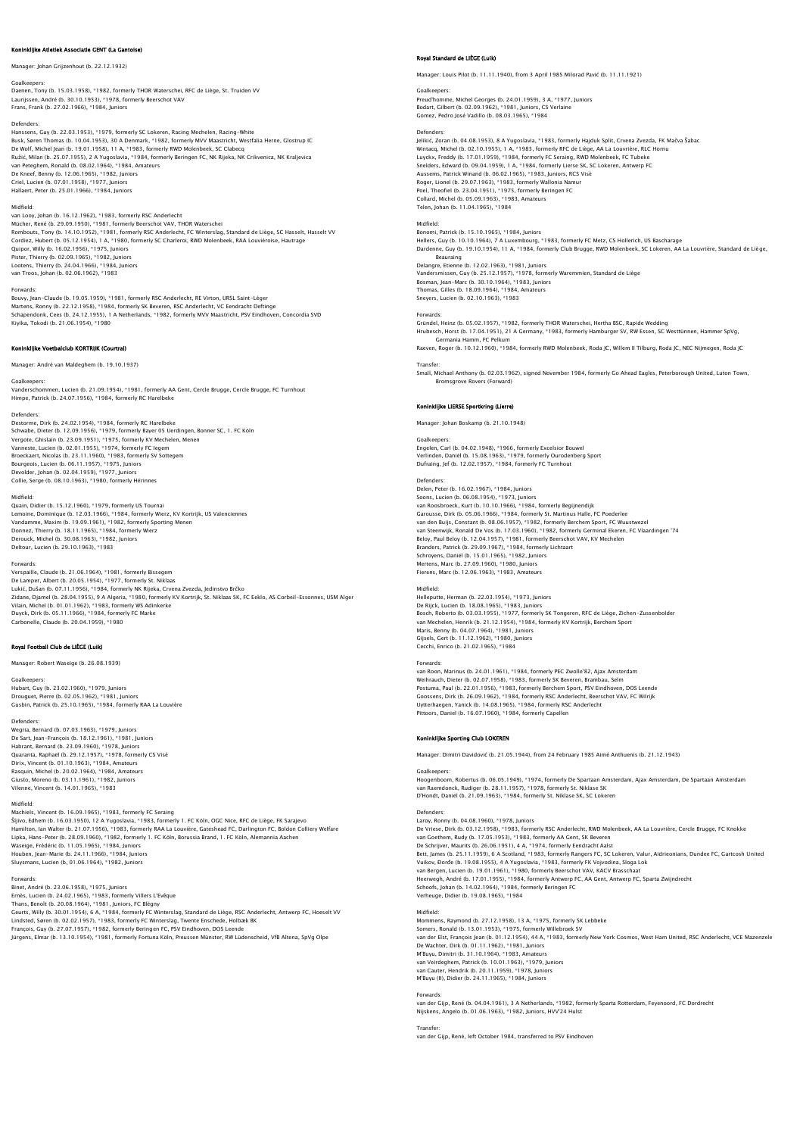# .<br>ke Atletiek Associatie GENT (La Ga

Manager: Johan Grijzenhout (b. 22.12.1932)

Goalkeepers: Daenen, Tony (b. 15.03.1958), \*1982, formerly THOR Waterschei, RFC de Liège, St. Truiden VV Laurijssen, André (b. 30.10.1953), \*1978, formerly Beerschot VAV Frans, Frank (b. 27.02.1966), \*1984, Juniors

Defenders:<br>Hanssens, Guy (b. 22.03.1953), \*1979, formerly SC Lokeren, Racing Mechelen, Racing-White<br>Busk, Søren Thomas (b. 10.04.1953), 30 A Denmark, \*1982, formerly MVV Maastricht, Westfalia Herne, Glostrup IC<br>De Wolf, Mi Ružić, Milan (b. 25.07.1955), 2 A Yugoslavia, \*1984, formerly Beringen FC, NK Rijeka, NK Crikvenica, NK Kraljevica<br>van Peteghem, Ronald (b. 08.02.1964), \*1984, Amateurs<br>De Kneef, Benny (b. 12.06.1965), \*1982, Juniors<br>Criel Hallaert, Peter (b. 25.01.1966), \*1984, Juniors

Midfield:<br>van Looy, Johan (b. 16.12.1962), \*1983, formerly RSC Anderlecht<br>Mücher, René (b. 29.09.1950), \*1981, formerly Beerschot VAV, THOR Waterschei<br>Rombouts, Tony (b. 14.10.1952), \*1981, formerly RSC Anderlecht, FC Wint Cordiez, Hubert (b. 05.12.1954), 1 A, \*1980, formerly SC Charleroi, RWD Molenbeek, RAA Louviéroise, Hautrage Quipor, Willy (b. 16.02.1956), \*1975, Juniors<br>Pister, Thierry (b. 02.09.1965), \*1982, Juniors<br>Lootens, Thierry (b. 24.04.1966), \*1984, Juniors<br>van Troos, Johan (b. 02.06.1962), \*1983

# Forwards:

Bouvy, Jean-Claude (b. 19.05.1959), \*1981, formerly RSC Anderlecht, RE Virton, URSL Saint-Léger<br>Martens, Ronny (b. 22.12.1958), \*1984, formerly SK Beveren, RSC Anderlecht, VC Eendracht Deftinge<br>Schapendonk, Cees (b. 24.12. Kiyika, Tokodi (b. 21.06.1954), \*1980

# nklijke Voetbalclub KORTRIJK (Co

Manager: André van Maldeghem (b. 19.10.1937)

## Goalkeepers:

Vanderschommen, Lucien (b. 21.09.1954), \*1981, formerly AA Gent, Cercle Brugge, Cercle Brugge, FC Turnhout Himpe, Patrick (b. 24.07.1956), \*1984, formerly RC Harelbeke

Defenders: Destorme, Dirk (b. 24.02.1954), \*1984, formerly RC Harelbeke Schwabe, Dieter (b. 12.09.1956), \*1979, formerly Bayer 05 Uerdingen, Bonner SC, 1. FC Köln<br>Vergote, Ghislain (b. 23.09.1951), \*1975, formerly KV Mechelen, Menen<br>Vanneste, Lucien (b. 02.01.1955), \*1974, formerly FC Iegem Broeckaert, Nicolas (b. 23.11.1960), \*1983, formerly SV Sottegem Bourgeois, Lucien (b. 06.11.1957), \*1975, Juniors Devolder, Johan (b. 02.04.1959), \*1977, Juniors Collie, Serge (b. 08.10.1963), \*1980, formerly Hérinnes

## Midfield:

Quain, Didier (b. 15.12.1960), \*1979, formerly US Tournai<br>Lemoine, Dominique (b. 12.03.1966), \*1984, formerly Wierz, KV Kortrijk, US Valenciennes<br>Vandamme, Maxim (b. 19.09.1961), \*1982, formerly Sporting Menen<br>Donez, Thier Deltour, Lucien (b. 29.10.1963), \*1983

Forwards: ude (b. 21.06.1964), \*1981, formerly Bissegem De Lamper, Albert (b. 20.05.1954), \*1977, formerly St. Niklaas Lukić, Dušan (b. 07.11.1956), \*1984, formerly NK Rijeka, Crvena Zvezda, Jedinstvo Brčko Zidane, Djamel (b. 28.04.1955), 9 A Algeria, \*1980, formerly KV Kortrijk, St. Niklaas SK, FC Eeklo, AS Corbeil-Essonnes, USM Alger<br>Vilain, Michel (b. 01.01.1962), \*1983, formerly WS Adinkerke<br>Duyck, Dirk (b. 05.11.1966), \*

# Royal Football Club de LIÈGE (Luik)

Manager: Robert Waseige (b. 26.08.1939)

# Goalkeepers

Hubart, Guy (b. 23.02.1960), \*1979, Juniors Drouguet, Pierre (b. 02.05.1962), \*1981, Juniors Gusbin, Patrick (b. 25.10.1965), \*1984, formerly RAA La Louvière

Defenders:

Wegria, Bernard (b. 07.03.1963), \*1979, Juniors De Sart, Jean-François (b. 18.12.1961), \*1981, Juniors Habrant, Bernard (b. 23.09.1960), \*1978, Juniors Quaranta, Raphaël (b. 29.12.1957), \*1978, formerly CS Visé Dirix, Vincent (b. 01.10.1963), \*1984, Amateurs Rasquin, Michel (b. 20.02.1964), \*1984, Amateurs Giusto, Moreno (b. 03.11.1961), \*1982, Juniors Vilenne, Vincent (b. 14.01.1965), \*1983

# Midfield:

Machiels, Vincent (b. 16.09.1965), \*1983, formerly FC Seraing<br>Šljivo, Edhem (b. 16.03.1950), 12 A Yugoslavia, \*1983, formerly 1. FC Köln, OGC Nice, RFC de Liège, FK Sarajevo<br>Hamilton, Ian Walter (b. 21.07.1956), \*1983, for Houben, Jean-Marie (b. 24.11.1966), \*1984, Juniors Sluysmans, Lucien (b, 01.06.1964), \*1982, Juniors

### Forwards:

Binet, André (b. 23.06.1958), \*1975, Juniors Ernès, Lucien (b. 24.02.1965), \*1983, formerly Villers L'Evêque<br>Thans, Benoît (b. 20.08.1964), \*1981, Juniors, FC Biègny<br>Ceurts, Willy (b. 30.01.1954), 6 A, \*1984, formerly FC Winterslag, Standard de Liège, RSC Anderlecht,

# Royal Standard de LIÈGE (Luik)

Manager: Louis Pilot (b. 11.11.1940), from 3 April 1985 Milorad Pavić (b. 11.11.1921)

Goalkeepers: Preud'homme, Michel Georges (b. 24.01.1959), 3 A, \*1977, Juniors Bodart, Gilbert (b. 02.09.1962), \*1981, Juniors, CS Verlaine Gomez, Pedro José Vadillo (b. 08.03.1965), \*1984

Defenders: Jelikić, Zoran (b. 04.08.1953), 8 A Yugoslavia, \*1983, formerly Hajduk Split, Crvena Zvezda, FK Mačva Šabac Wintacq, Michel (b. 02.10.1955), 1 A, \*1983, formerly RFC de Liège, AA La Louvrière, RLC Hornu<br>Luyckx, Freddy (b. 17.01.1959), \*1984, formerly FC Seraing, RWD Molenbeek, FC Tubeke<br>Snelders, Edward (b. 09.04.1959), 1 A, \*19 Collard, Michel (b. 05.09.1963), \*1983, Amateurs Telen, Johan (b. 11.04.1965), \*1984

Midfield: Bonomi, Patrick (b. 15.10.1965), \*1984, Juniors Hellers, Guy (b. 10.10.1964), 7 A Luxembourg, \*1983, formerly FC Metz, CS Hollerich, US Bascharage Dardenne, Guy (b. 19.10.1954), 11 A, \*1984, formerly Club Brugge, RWD Molenbeek, SC Lokeren, AA La Louvrière, Standard de Liège,

Beauraing<br>Delangre, Etienne (b. 12.02.1963), \*1981, Juniors<br>Vandersmissen, Guy (b. 25.12.1957), \*1978, formerly Waremmien, Standard de Liège<br>Bosman, Jean-Marc (b. 30.10.1964), \*1983, Juniors Thomas, Gilles (b. 18.09.1964), \*1984, Amateurs Sneyers, Lucien (b. 02.10.1963), \*1983

### Forwards:

Gründel, Heinz (b. 05.02.1957), \*1982, formerly THOR Waterschei, Hertha BSC, Rapide Wedding

Hrubesch, Horst (b. 17.04.1951), 21 A Germany, \*1983, formerly Hamburger SV, RW Essen, SC Westtünnen, Hammer SpVg, Germania Hamm, FC Pelkum Raeven, Roger (b. 10.12.1960), \*1984, formerly RWD Molenbeek, Roda JC, Willem II Tilburg, Roda JC, NEC Nijmegen, Roda JC

### Transfer:

Small, Michael Anthony (b. 02.03.1962), signed November 1984, formerly Go Ahead Eagles, Peterborough United, Luton Town, Bromsgrove Rovers (Forward)

# Koninklijke LIERSE Sportkring (Lierre)

Manager: Johan Boskamp (b. 21.10.1948)

# Goalkeeper

Engelen, Carl (b. 04.02.1948), \*1966, formerly Excelsior Bouwel Verlinden, Daniël (b. 15.08.1963), \*1979, formerly Ourodenberg Sport Dufraing, Jef (b. 12.02.1957), \*1984, formerly FC Turnhout

Defenders: Delen, Peter (b. 16.02.1967), \*1984, Juniors Soons, Lucien (b. 06.08.1954), \*1973, Juniors van Roosbroeck, Kurt (b. 10.10.1966), \*1984, formerly Begijnendijk<br>Carousse, Dirk (b. 05.06.1966), \*1984, formerly St. Martinus Halle, FC Poederlee Garousse, Dirk (b. 05.06.1966), \*1984, formerly St. Martinus Halle, FC Poederlee<br>van den Buijs, Constant (b. 08.06.1957), \*1982, formerly Berchem Sport, FC Wuustwezel<br>van Steenwijk, Ronald De Vos (b. 17.03.1960), \*1982, fo Midfield:

Helleputte, Herman (b. 22.03.1954), \*1973, Juniors De Rijck, Lucien (b. 18.08.1965), \*1983, Juniors<br>Bosch, Roberto (b. 03.03.1955), \*1977, formerly SK Tongeren, RFC de Liège, Zichen–Zussenbolder<br>van Mechelen, Henrik (b. 21.12.1954), \*1984, formerly KV Kortrijk, Berchem Spo Maris, Benny (b. 04.07.1964), \*1981, Juniors Gijsels, Gert (b. 11.12.1962), \*1980, Juniors Cecchi, Enrico (b. 21.02.1965), \*1984

Forwards: van Roon, Marinus (b. 24.01.1961), \*1984, formerly PEC Zwolle'82, Ajax Amsterdam Weihrauch, Dieter (b. 02.07.1958), \*1983, formerly SK Beveren, Brambau, Selm Postuma, Paul (b. 22.01.1956), \*1983, formerly Berchem Sport, PSV Eindhoven, DOS Leende Goossens, Dirk (b. 26.09.1962), \*1984, formerly RSC Anderlecht, Beerschot VAV, FC Wilrijk<br>Uytterhaegen, Yanick (b. 14.08.1965), \*1984, formerly RSC Anderlecht<br>Pittoors, Daniel (b. 16.07.1960), \*1984, formerly Capellen

# Koninklijke Sporting Club LOKEREN

Manager: Dimitri Davidović (b. 21.05.1944), from 24 February 1985 Aimé Anthuenis (b. 21.12.1943)

Goalkeepers:<br>Hoogenboom, Robertus (b. 06.05.1949), \*1974, formerly De Spartaan Amsterdam, Ajax Amsterdam, De Spartaan Amsterdam<br>van Raemdonck, Rudiger (b. 28.11.1957), \*1978, formerly St. Niklase SK<br>D'Hondt, Daniël (b. 21.

Defenders:<br>Laroy, Ronny (b. 04.08.1960), \*1978, Juniors<br>De Vriese, Dirk (b. 03.12.1958), \*1983, formerly RSC Anderlecht, RWD Molenbeek, AA La Louvrière, Cercle Brugge, FC Knokke<br>van Goethem, Rudy (b. 17.05.1953), \*1983, fo Bett, James (b. 25.11.1959), 6 A Scotland, † 1983, formerly Rangers FC, SC Lokeren, Valur, Aldrieonians, Dundee FC, Gartcosh United<br>Vuikov, Đorđe (b. 19.08.1955), 4 A Yugoslavia, † 1983, formerly FK Vojvodina, Sloga Lok<br>va Verheuge, Didier (b. 19.08.1965), \*1984

# Midfield:

Mommens, Raymond (b. 27.12.1958), 13 A, \*1975, formerly SK Lebbeke Somers, Ronald (b. 13.01.1953), \*1975, formerly Willebroek SV<br>van der Elst, François Jean (b. 01.12.1954), 44 A, \*1983, formerly New York Cosmos, West Ham United, RSC Anderlecht, VCE Mazenzele De Wachter, Dirk (b. 01.11.1962), \*1981, Juniors<br>M'Buyu, Dimitri (b. 31.10.1964), \*1983, Amateurs<br>van Veirdeghem, Patrick (b. 10.01.1963), \*1979, Juniors<br>van Cauter, Hendrik (b. 20.11.1959), \*1978, Juniors<br>M'Buyu (II), Did

Forwards:<br>van der Gijp, René (b. 04.04.1961), 3 A Netherlands, \*1982, formerly Sparta Rotterdam, Feyenoord, FC Dordrecht<br>Nijskens, Angelo (b. 01.06.1963), \*1982, Juniors, HVV'24 Hulst

# **Transfer**

van der Gijp, René, left October 1984, transferred to PSV Eindhoven